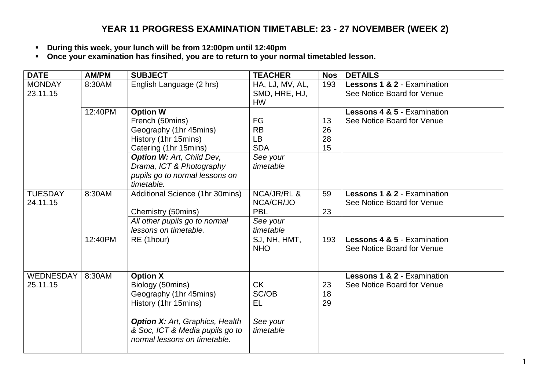## **YEAR 11 PROGRESS EXAMINATION TIMETABLE: 23 - 27 NOVEMBER (WEEK 2)**

- **During this week, your lunch will be from 12:00pm until 12:40pm**
- **Once your examination has finsihed, you are to return to your normal timetabled lesson.**

| <b>DATE</b>    | <b>AM/PM</b> | <b>SUBJECT</b>                         | <b>TEACHER</b>         | <b>Nos</b> | <b>DETAILS</b>                         |
|----------------|--------------|----------------------------------------|------------------------|------------|----------------------------------------|
| <b>MONDAY</b>  | 8:30AM       | English Language (2 hrs)               | HA, LJ, MV, AL,        | 193        | Lessons 1 & 2 - Examination            |
| 23.11.15       |              |                                        | SMD, HRE, HJ,          |            | See Notice Board for Venue             |
|                |              |                                        | <b>HW</b>              |            |                                        |
|                | 12:40PM      | <b>Option W</b>                        |                        |            | Lessons 4 & 5 - Examination            |
|                |              | French (50mins)                        | FG                     | 13         | See Notice Board for Venue             |
|                |              | Geography (1hr 45mins)                 | <b>RB</b>              | 26         |                                        |
|                |              | History (1hr 15mins)                   | LB                     | 28         |                                        |
|                |              | Catering (1hr 15mins)                  | <b>SDA</b>             | 15         |                                        |
|                |              | <b>Option W: Art, Child Dev,</b>       | See your               |            |                                        |
|                |              | Drama, ICT & Photography               | timetable              |            |                                        |
|                |              | pupils go to normal lessons on         |                        |            |                                        |
|                |              | timetable.                             |                        |            |                                        |
| <b>TUESDAY</b> | 8:30AM       | Additional Science (1hr 30mins)        | <b>NCA/JR/RL &amp;</b> | 59         | <b>Lessons 1 &amp; 2 - Examination</b> |
| 24.11.15       |              |                                        | NCA/CR/JO              |            | See Notice Board for Venue             |
|                |              | Chemistry (50mins)                     | <b>PBL</b>             | 23         |                                        |
|                |              | All other pupils go to normal          | See your               |            |                                        |
|                |              | lessons on timetable.                  | timetable              |            |                                        |
|                | 12:40PM      | RE (1hour)                             | SJ, NH, HMT,           | 193        | <b>Lessons 4 &amp; 5 - Examination</b> |
|                |              |                                        | <b>NHO</b>             |            | See Notice Board for Venue             |
|                |              |                                        |                        |            |                                        |
| WEDNESDAY      | 8:30AM       | <b>Option X</b>                        |                        |            | <b>Lessons 1 &amp; 2 - Examination</b> |
| 25.11.15       |              | Biology (50mins)                       | <b>CK</b>              | 23         | See Notice Board for Venue             |
|                |              | Geography (1hr 45mins)                 | SC/OB                  | 18         |                                        |
|                |              | History (1hr 15mins)                   | EL                     | 29         |                                        |
|                |              |                                        |                        |            |                                        |
|                |              | <b>Option X: Art, Graphics, Health</b> | See your               |            |                                        |
|                |              | & Soc, ICT & Media pupils go to        | timetable              |            |                                        |
|                |              | normal lessons on timetable.           |                        |            |                                        |
|                |              |                                        |                        |            |                                        |